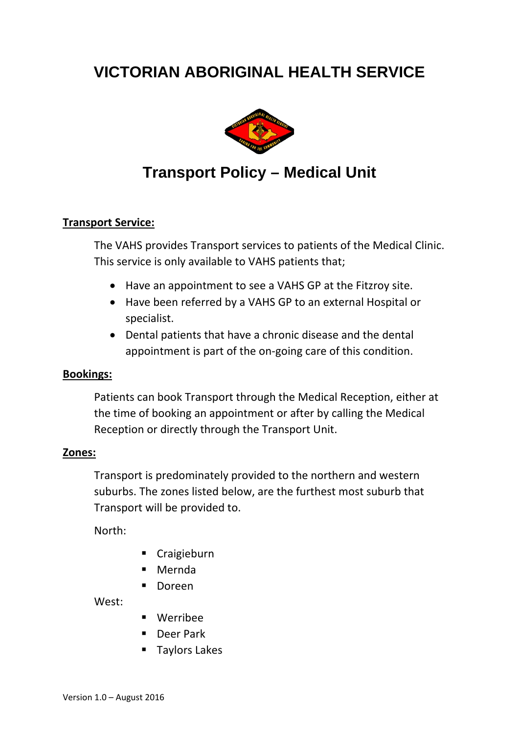# **VICTORIAN ABORIGINAL HEALTH SERVICE**



## **Transport Policy – Medical Unit**

#### **Transport Service:**

The VAHS provides Transport services to patients of the Medical Clinic. This service is only available to VAHS patients that;

- Have an appointment to see a VAHS GP at the Fitzroy site.
- Have been referred by a VAHS GP to an external Hospital or specialist.
- Dental patients that have a chronic disease and the dental appointment is part of the on-going care of this condition.

#### **Bookings:**

Patients can book Transport through the Medical Reception, either at the time of booking an appointment or after by calling the Medical Reception or directly through the Transport Unit.

#### **Zones:**

Transport is predominately provided to the northern and western suburbs. The zones listed below, are the furthest most suburb that Transport will be provided to.

North:

- **Craigieburn**
- Mernda
- **Doreen**

West:

- Werribee
- Deer Park
- **Taylors Lakes**